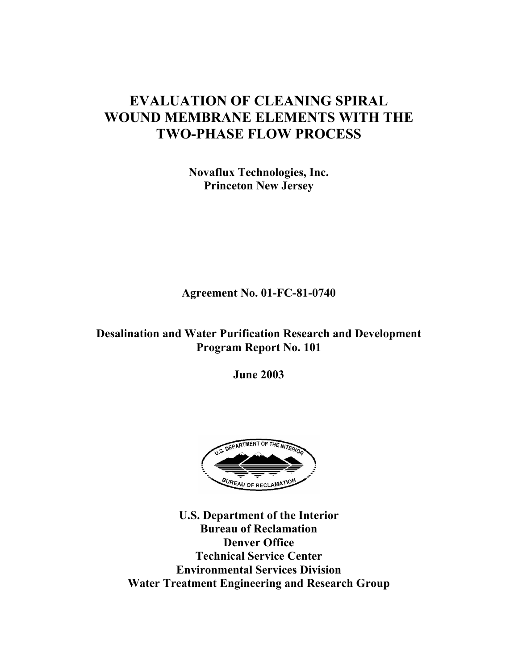# **EVALUATION OF CLEANING SPIRAL WOUND MEMBRANE ELEMENTS WITH THE TWO-PHASE FLOW PROCESS**

**Novaflux Technologies, Inc. Princeton New Jersey** 

**Agreement No. 01-FC-81-0740** 

**Desalination and Water Purification Research and Development Program Report No. 101** 

**June 2003** 



**U.S. Department of the Interior Bureau of Reclamation Denver Office Technical Service Center Environmental Services Division Water Treatment Engineering and Research Group**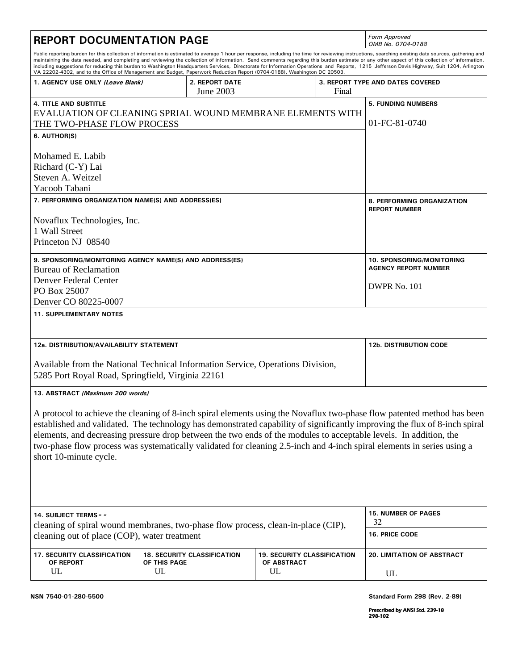| <b>REPORT DOCUMENTATION PAGE</b>                                                                                                                                                                                                                                                                                                                                                                                                                                                                                               |                    |                                    |                                                         |                                            | Form Approved<br>OMB No. 0704-0188                                                                                                                                                                                                                                                                                                                                                                                                                                                                                                                                                                  |
|--------------------------------------------------------------------------------------------------------------------------------------------------------------------------------------------------------------------------------------------------------------------------------------------------------------------------------------------------------------------------------------------------------------------------------------------------------------------------------------------------------------------------------|--------------------|------------------------------------|---------------------------------------------------------|--------------------------------------------|-----------------------------------------------------------------------------------------------------------------------------------------------------------------------------------------------------------------------------------------------------------------------------------------------------------------------------------------------------------------------------------------------------------------------------------------------------------------------------------------------------------------------------------------------------------------------------------------------------|
| VA 22202-4302, and to the Office of Management and Budget, Paperwork Reduction Report (0704-0188), Washington DC 20503.                                                                                                                                                                                                                                                                                                                                                                                                        |                    |                                    |                                                         |                                            | Public reporting burden for this collection of information is estimated to average 1 hour per response, including the time for reviewing instructions, searching existing data sources, gathering and<br>maintaining the data needed, and completing and reviewing the collection of information. Send comments regarding this burden estimate or any other aspect of this collection of information,<br>including suggestions for reducing this burden to Washington Headquarters Services, Directorate for Information Operations and Reports, 1215 Jefferson Davis Highway, Suit 1204, Arlington |
| 1. AGENCY USE ONLY (Leave Blank)                                                                                                                                                                                                                                                                                                                                                                                                                                                                                               |                    | 2. REPORT DATE<br>June 2003        |                                                         | Final                                      | 3. REPORT TYPE AND DATES COVERED                                                                                                                                                                                                                                                                                                                                                                                                                                                                                                                                                                    |
| <b>4. TITLE AND SUBTITLE</b><br>EVALUATION OF CLEANING SPRIAL WOUND MEMBRANE ELEMENTS WITH<br>THE TWO-PHASE FLOW PROCESS<br>6. AUTHOR(S)<br>Mohamed E. Labib<br>Richard (C-Y) Lai<br>Steven A. Weitzel                                                                                                                                                                                                                                                                                                                         |                    |                                    |                                                         | <b>5. FUNDING NUMBERS</b><br>01-FC-81-0740 |                                                                                                                                                                                                                                                                                                                                                                                                                                                                                                                                                                                                     |
| Yacoob Tabani<br>7. PERFORMING ORGANIZATION NAME(S) AND ADDRESS(ES)<br>Novaflux Technologies, Inc.<br>1 Wall Street<br>Princeton NJ 08540                                                                                                                                                                                                                                                                                                                                                                                      |                    |                                    |                                                         |                                            | 8. PERFORMING ORGANIZATION<br><b>REPORT NUMBER</b>                                                                                                                                                                                                                                                                                                                                                                                                                                                                                                                                                  |
| 9. SPONSORING/MONITORING AGENCY NAME(S) AND ADDRESS(ES)<br><b>Bureau of Reclamation</b><br>Denver Federal Center<br>PO Box 25007<br>Denver CO 80225-0007<br><b>11. SUPPLEMENTARY NOTES</b>                                                                                                                                                                                                                                                                                                                                     |                    |                                    |                                                         |                                            | <b>10. SPONSORING/MONITORING</b><br><b>AGENCY REPORT NUMBER</b><br>DWPR No. 101                                                                                                                                                                                                                                                                                                                                                                                                                                                                                                                     |
| 12a. DISTRIBUTION/AVAILABILITY STATEMENT<br>Available from the National Technical Information Service, Operations Division,<br>5285 Port Royal Road, Springfield, Virginia 22161                                                                                                                                                                                                                                                                                                                                               |                    |                                    |                                                         | <b>12b. DISTRIBUTION CODE</b>              |                                                                                                                                                                                                                                                                                                                                                                                                                                                                                                                                                                                                     |
| 13. ABSTRACT (Maximum 200 words)                                                                                                                                                                                                                                                                                                                                                                                                                                                                                               |                    |                                    |                                                         |                                            |                                                                                                                                                                                                                                                                                                                                                                                                                                                                                                                                                                                                     |
| A protocol to achieve the cleaning of 8-inch spiral elements using the Novaflux two-phase flow patented method has been<br>established and validated. The technology has demonstrated capability of significantly improving the flux of 8-inch spiral<br>elements, and decreasing pressure drop between the two ends of the modules to acceptable levels. In addition, the<br>two-phase flow process was systematically validated for cleaning 2.5-inch and 4-inch spiral elements in series using a<br>short 10-minute cycle. |                    |                                    |                                                         |                                            |                                                                                                                                                                                                                                                                                                                                                                                                                                                                                                                                                                                                     |
| 14. SUBJECT TERMS--                                                                                                                                                                                                                                                                                                                                                                                                                                                                                                            |                    |                                    |                                                         |                                            | <b>15. NUMBER OF PAGES</b><br>32                                                                                                                                                                                                                                                                                                                                                                                                                                                                                                                                                                    |
| cleaning of spiral wound membranes, two-phase flow process, clean-in-place (CIP),<br>cleaning out of place (COP), water treatment                                                                                                                                                                                                                                                                                                                                                                                              |                    |                                    |                                                         |                                            | <b>16. PRICE CODE</b>                                                                                                                                                                                                                                                                                                                                                                                                                                                                                                                                                                               |
| <b>17. SECURITY CLASSIFICATION</b><br>OF REPORT<br>UL                                                                                                                                                                                                                                                                                                                                                                                                                                                                          | OF THIS PAGE<br>UL | <b>18. SECURITY CLASSIFICATION</b> | <b>19. SECURITY CLASSIFICATION</b><br>OF ABSTRACT<br>UL |                                            | <b>20. LIMITATION OF ABSTRACT</b><br>UL                                                                                                                                                                                                                                                                                                                                                                                                                                                                                                                                                             |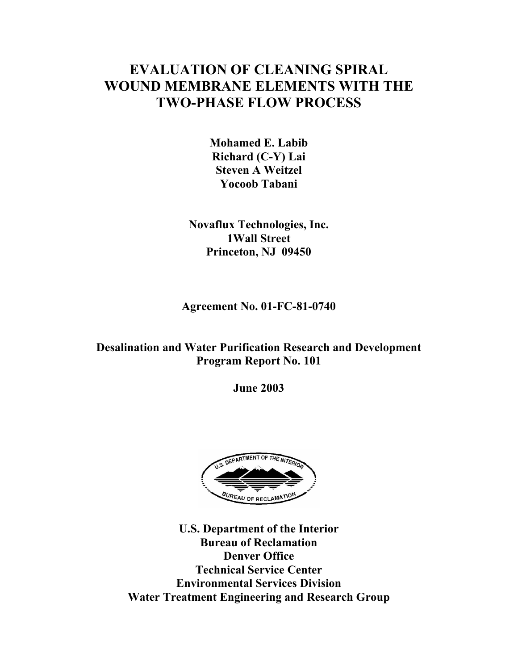# **EVALUATION OF CLEANING SPIRAL WOUND MEMBRANE ELEMENTS WITH THE TWO-PHASE FLOW PROCESS**

**Mohamed E. Labib Richard (C-Y) Lai Steven A Weitzel Yocoob Tabani** 

**Novaflux Technologies, Inc. 1Wall Street Princeton, NJ 09450** 

**Agreement No. 01-FC-81-0740** 

# **Desalination and Water Purification Research and Development Program Report No. 101**

**June 2003** 



**U.S. Department of the Interior Bureau of Reclamation Denver Office Technical Service Center Environmental Services Division Water Treatment Engineering and Research Group**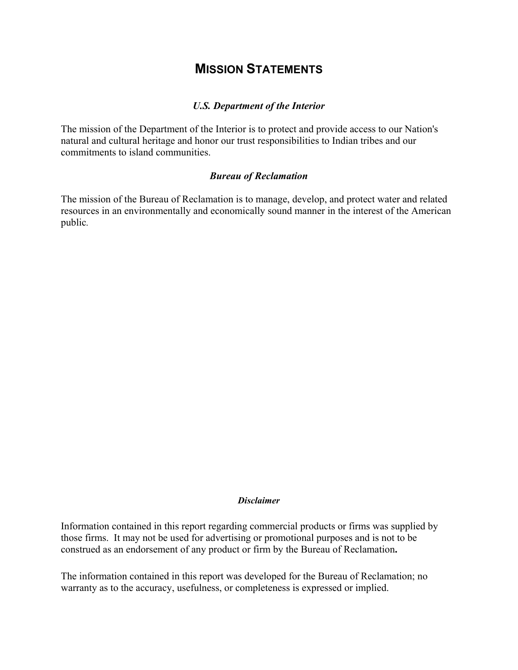# **MISSION STATEMENTS**

#### *U.S. Department of the Interior*

The mission of the Department of the Interior is to protect and provide access to our Nation's natural and cultural heritage and honor our trust responsibilities to Indian tribes and our commitments to island communities.

#### *Bureau of Reclamation*

The mission of the Bureau of Reclamation is to manage, develop, and protect water and related resources in an environmentally and economically sound manner in the interest of the American public*.* 

#### *Disclaimer*

Information contained in this report regarding commercial products or firms was supplied by those firms. It may not be used for advertising or promotional purposes and is not to be construed as an endorsement of any product or firm by the Bureau of Reclamation**.** 

The information contained in this report was developed for the Bureau of Reclamation; no warranty as to the accuracy, usefulness, or completeness is expressed or implied.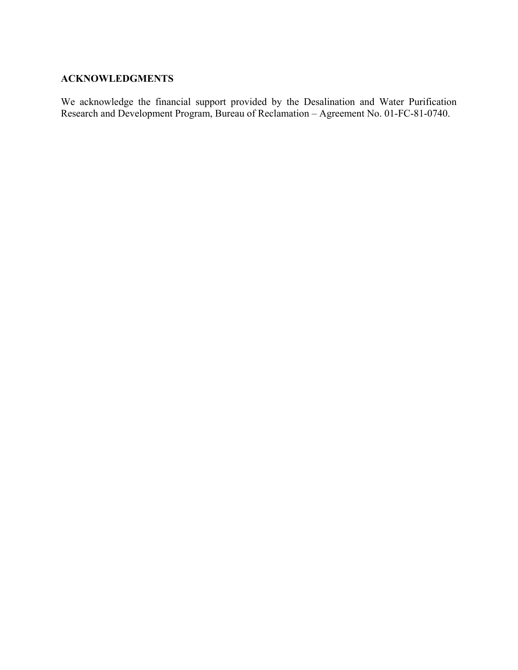#### **ACKNOWLEDGMENTS**

We acknowledge the financial support provided by the Desalination and Water Purification Research and Development Program, Bureau of Reclamation – Agreement No. 01-FC-81-0740.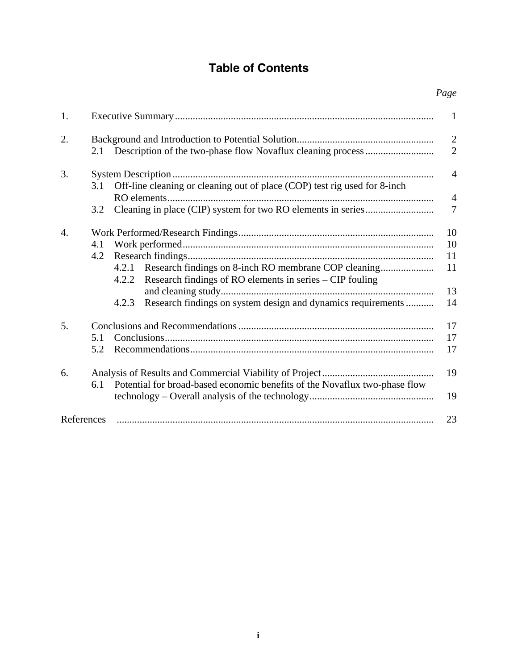# **Table of Contents**

*Page* 

| 1.         |                                                                                                                                                                   | $\mathbf{1}$                     |
|------------|-------------------------------------------------------------------------------------------------------------------------------------------------------------------|----------------------------------|
| 2.         |                                                                                                                                                                   | $\overline{2}$<br>$\overline{2}$ |
| 3.         | Off-line cleaning or cleaning out of place (COP) test rig used for 8-inch<br>3.1                                                                                  | $\overline{4}$                   |
|            | 3.2                                                                                                                                                               | $\overline{4}$<br>$\overline{7}$ |
| 4.         | 4.1<br>4.2<br>4.2.1<br>Research findings of RO elements in series – CIP fouling<br>4.2.2<br>Research findings on system design and dynamics requirements<br>4.2.3 | 10<br>10<br>11<br>11<br>13<br>14 |
| 5.         | 5.1<br>5.2                                                                                                                                                        | 17<br>17<br>17                   |
| 6.         | Potential for broad-based economic benefits of the Novaflux two-phase flow<br>6.1                                                                                 | 19<br>19                         |
| References |                                                                                                                                                                   | 23                               |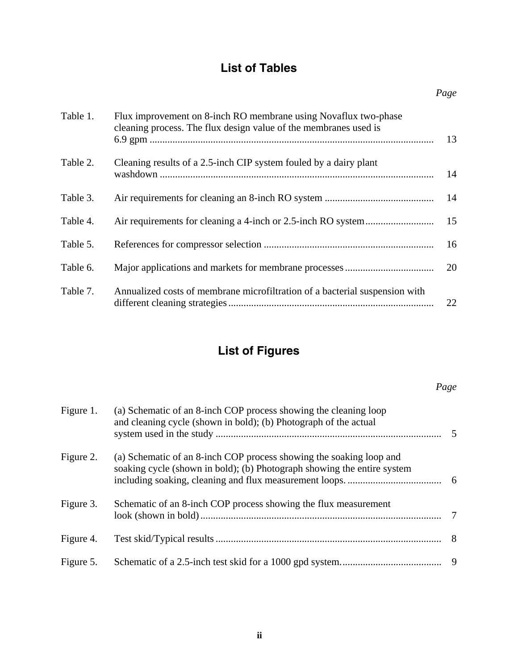# **List of Tables**

| Table 1. | Flux improvement on 8-inch RO membrane using Novaflux two-phase<br>cleaning process. The flux design value of the membranes used is | 13 |
|----------|-------------------------------------------------------------------------------------------------------------------------------------|----|
| Table 2. | Cleaning results of a 2.5-inch CIP system fouled by a dairy plant                                                                   | 14 |
| Table 3. |                                                                                                                                     | 14 |
| Table 4. |                                                                                                                                     | 15 |
| Table 5. |                                                                                                                                     | 16 |
| Table 6. |                                                                                                                                     | 20 |
| Table 7. | Annualized costs of membrane microfiltration of a bacterial suspension with                                                         | 22 |

# **List of Figures**

# *Page*

| Figure 1. | (a) Schematic of an 8-inch COP process showing the cleaning loop<br>and cleaning cycle (shown in bold); (b) Photograph of the actual           |   |
|-----------|------------------------------------------------------------------------------------------------------------------------------------------------|---|
| Figure 2. | (a) Schematic of an 8-inch COP process showing the soaking loop and<br>soaking cycle (shown in bold); (b) Photograph showing the entire system |   |
| Figure 3. | Schematic of an 8-inch COP process showing the flux measurement                                                                                | 7 |
| Figure 4. |                                                                                                                                                |   |
| Figure 5. |                                                                                                                                                |   |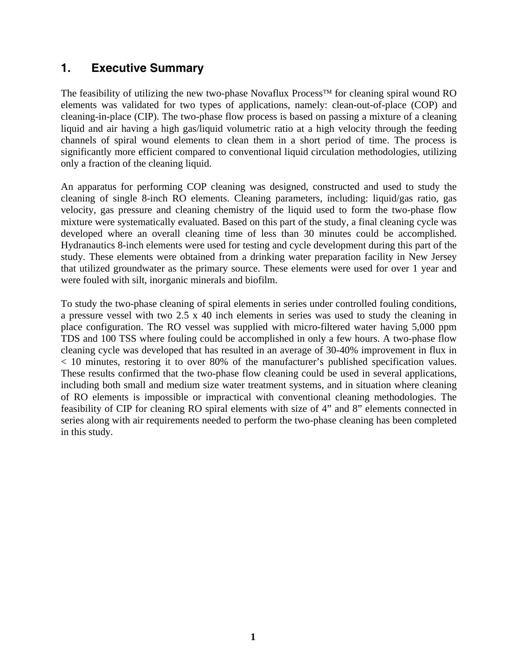# **1. Executive Summary**

The feasibility of utilizing the new two-phase Novaflux Process<sup>™</sup> for cleaning spiral wound RO elements was validated for two types of applications, namely: clean-out-of-place (COP) and cleaning-in-place (CIP). The two-phase flow process is based on passing a mixture of a cleaning liquid and air having a high gas/liquid volumetric ratio at a high velocity through the feeding channels of spiral wound elements to clean them in a short period of time. The process is significantly more efficient compared to conventional liquid circulation methodologies, utilizing only a fraction of the cleaning liquid.

An apparatus for performing COP cleaning was designed, constructed and used to study the cleaning of single 8-inch RO elements. Cleaning parameters, including: liquid/gas ratio, gas velocity, gas pressure and cleaning chemistry of the liquid used to form the two-phase flow mixture were systematically evaluated. Based on this part of the study, a final cleaning cycle was developed where an overall cleaning time of less than 30 minutes could be accomplished. Hydranautics 8-inch elements were used for testing and cycle development during this part of the study. These elements were obtained from a drinking water preparation facility in New Jersey that utilized groundwater as the primary source. These elements were used for over 1 year and were fouled with silt, inorganic minerals and biofilm.

To study the two-phase cleaning of spiral elements in series under controlled fouling conditions, a pressure vessel with two 2.5 x 40 inch elements in series was used to study the cleaning in place configuration. The RO vessel was supplied with micro-filtered water having 5,000 ppm TDS and 100 TSS where fouling could be accomplished in only a few hours. A two-phase flow cleaning cycle was developed that has resulted in an average of 30-40% improvement in flux in < 10 minutes, restoring it to over 80% of the manufacturer's published specification values. These results confirmed that the two-phase flow cleaning could be used in several applications, including both small and medium size water treatment systems, and in situation where cleaning of RO elements is impossible or impractical with conventional cleaning methodologies. The feasibility of CIP for cleaning RO spiral elements with size of 4" and 8" elements connected in series along with air requirements needed to perform the two-phase cleaning has been completed in this study.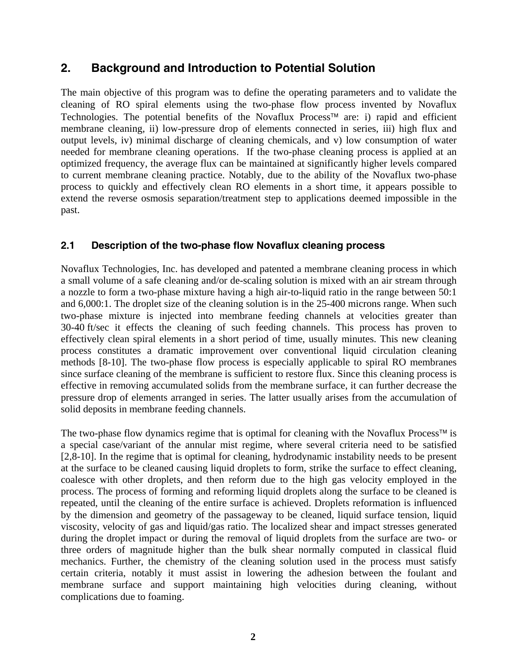## **2. Background and Introduction to Potential Solution**

The main objective of this program was to define the operating parameters and to validate the cleaning of RO spiral elements using the two-phase flow process invented by Novaflux Technologies. The potential benefits of the Novaflux Process™ are: i) rapid and efficient membrane cleaning, ii) low-pressure drop of elements connected in series, iii) high flux and output levels, iv) minimal discharge of cleaning chemicals, and v) low consumption of water needed for membrane cleaning operations. If the two-phase cleaning process is applied at an optimized frequency, the average flux can be maintained at significantly higher levels compared to current membrane cleaning practice. Notably, due to the ability of the Novaflux two-phase process to quickly and effectively clean RO elements in a short time, it appears possible to extend the reverse osmosis separation/treatment step to applications deemed impossible in the past.

### **2.1 Description of the two-phase flow Novaflux cleaning process**

Novaflux Technologies, Inc. has developed and patented a membrane cleaning process in which a small volume of a safe cleaning and/or de-scaling solution is mixed with an air stream through a nozzle to form a two-phase mixture having a high air-to-liquid ratio in the range between 50:1 and 6,000:1. The droplet size of the cleaning solution is in the 25-400 microns range. When such two-phase mixture is injected into membrane feeding channels at velocities greater than 30-40 ft/sec it effects the cleaning of such feeding channels. This process has proven to effectively clean spiral elements in a short period of time, usually minutes. This new cleaning process constitutes a dramatic improvement over conventional liquid circulation cleaning methods [8-10]. The two-phase flow process is especially applicable to spiral RO membranes since surface cleaning of the membrane is sufficient to restore flux. Since this cleaning process is effective in removing accumulated solids from the membrane surface, it can further decrease the pressure drop of elements arranged in series. The latter usually arises from the accumulation of solid deposits in membrane feeding channels.

The two-phase flow dynamics regime that is optimal for cleaning with the Novaflux Process™ is a special case/variant of the annular mist regime, where several criteria need to be satisfied [2,8-10]. In the regime that is optimal for cleaning, hydrodynamic instability needs to be present at the surface to be cleaned causing liquid droplets to form, strike the surface to effect cleaning, coalesce with other droplets, and then reform due to the high gas velocity employed in the process. The process of forming and reforming liquid droplets along the surface to be cleaned is repeated, until the cleaning of the entire surface is achieved. Droplets reformation is influenced by the dimension and geometry of the passageway to be cleaned, liquid surface tension, liquid viscosity, velocity of gas and liquid/gas ratio. The localized shear and impact stresses generated during the droplet impact or during the removal of liquid droplets from the surface are two- or three orders of magnitude higher than the bulk shear normally computed in classical fluid mechanics. Further, the chemistry of the cleaning solution used in the process must satisfy certain criteria, notably it must assist in lowering the adhesion between the foulant and membrane surface and support maintaining high velocities during cleaning, without complications due to foaming.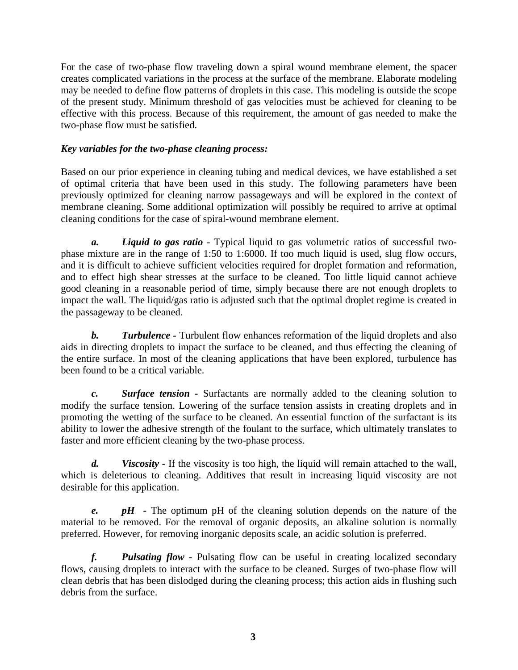For the case of two-phase flow traveling down a spiral wound membrane element, the spacer creates complicated variations in the process at the surface of the membrane. Elaborate modeling may be needed to define flow patterns of droplets in this case. This modeling is outside the scope of the present study. Minimum threshold of gas velocities must be achieved for cleaning to be effective with this process. Because of this requirement, the amount of gas needed to make the two-phase flow must be satisfied.

#### *Key variables for the two-phase cleaning process:*

Based on our prior experience in cleaning tubing and medical devices, we have established a set of optimal criteria that have been used in this study. The following parameters have been previously optimized for cleaning narrow passageways and will be explored in the context of membrane cleaning. Some additional optimization will possibly be required to arrive at optimal cleaning conditions for the case of spiral-wound membrane element.

 *a. Liquid to gas ratio* - Typical liquid to gas volumetric ratios of successful twophase mixture are in the range of 1:50 to 1:6000. If too much liquid is used, slug flow occurs, and it is difficult to achieve sufficient velocities required for droplet formation and reformation, and to effect high shear stresses at the surface to be cleaned. Too little liquid cannot achieve good cleaning in a reasonable period of time, simply because there are not enough droplets to impact the wall. The liquid/gas ratio is adjusted such that the optimal droplet regime is created in the passageway to be cleaned.

**b.** Turbulence - Turbulent flow enhances reformation of the liquid droplets and also aids in directing droplets to impact the surface to be cleaned, and thus effecting the cleaning of the entire surface. In most of the cleaning applications that have been explored, turbulence has been found to be a critical variable.

 *c. Surface tension -* Surfactants are normally added to the cleaning solution to modify the surface tension. Lowering of the surface tension assists in creating droplets and in promoting the wetting of the surface to be cleaned. An essential function of the surfactant is its ability to lower the adhesive strength of the foulant to the surface, which ultimately translates to faster and more efficient cleaning by the two-phase process.

*d.* Viscosity - If the viscosity is too high, the liquid will remain attached to the wall, which is deleterious to cleaning. Additives that result in increasing liquid viscosity are not desirable for this application.

*e.* pH - The optimum pH of the cleaning solution depends on the nature of the material to be removed. For the removal of organic deposits, an alkaline solution is normally preferred. However, for removing inorganic deposits scale, an acidic solution is preferred.

 *f. Pulsating flow -* Pulsating flow can be useful in creating localized secondary flows, causing droplets to interact with the surface to be cleaned. Surges of two-phase flow will clean debris that has been dislodged during the cleaning process; this action aids in flushing such debris from the surface.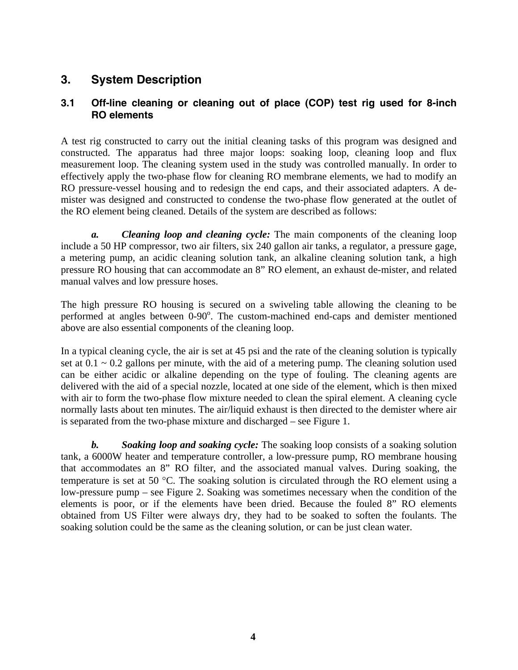# **3. System Description**

### **3.1 Off-line cleaning or cleaning out of place (COP) test rig used for 8-inch RO elements**

A test rig constructed to carry out the initial cleaning tasks of this program was designed and constructed. The apparatus had three major loops: soaking loop, cleaning loop and flux measurement loop. The cleaning system used in the study was controlled manually. In order to effectively apply the two-phase flow for cleaning RO membrane elements, we had to modify an RO pressure-vessel housing and to redesign the end caps, and their associated adapters. A demister was designed and constructed to condense the two-phase flow generated at the outlet of the RO element being cleaned. Details of the system are described as follows:

 *a. Cleaning loop and cleaning cycle:* The main components of the cleaning loop include a 50 HP compressor, two air filters, six 240 gallon air tanks, a regulator, a pressure gage, a metering pump, an acidic cleaning solution tank, an alkaline cleaning solution tank, a high pressure RO housing that can accommodate an 8" RO element, an exhaust de-mister, and related manual valves and low pressure hoses.

The high pressure RO housing is secured on a swiveling table allowing the cleaning to be performed at angles between  $0$ -90 $\degree$ . The custom-machined end-caps and demister mentioned above are also essential components of the cleaning loop.

In a typical cleaning cycle, the air is set at 45 psi and the rate of the cleaning solution is typically set at  $0.1 \sim 0.2$  gallons per minute, with the aid of a metering pump. The cleaning solution used can be either acidic or alkaline depending on the type of fouling. The cleaning agents are delivered with the aid of a special nozzle, located at one side of the element, which is then mixed with air to form the two-phase flow mixture needed to clean the spiral element. A cleaning cycle normally lasts about ten minutes. The air/liquid exhaust is then directed to the demister where air is separated from the two-phase mixture and discharged – see Figure 1.

 *b. Soaking loop and soaking cycle:* The soaking loop consists of a soaking solution tank, a 6000W heater and temperature controller, a low-pressure pump, RO membrane housing that accommodates an 8" RO filter, and the associated manual valves. During soaking, the temperature is set at 50 °C. The soaking solution is circulated through the RO element using a low-pressure pump – see Figure 2. Soaking was sometimes necessary when the condition of the elements is poor, or if the elements have been dried. Because the fouled 8" RO elements obtained from US Filter were always dry, they had to be soaked to soften the foulants. The soaking solution could be the same as the cleaning solution, or can be just clean water.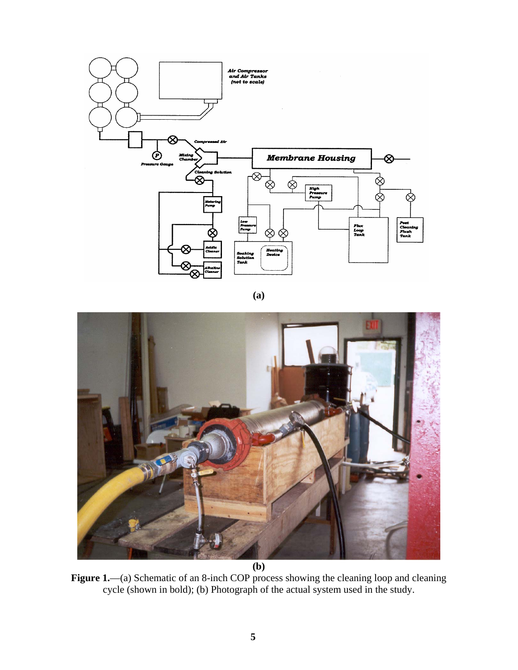

**(a)** 



Figure 1.—(a) Schematic of an 8-inch COP process showing the cleaning loop and cleaning cycle (shown in bold); (b) Photograph of the actual system used in the study.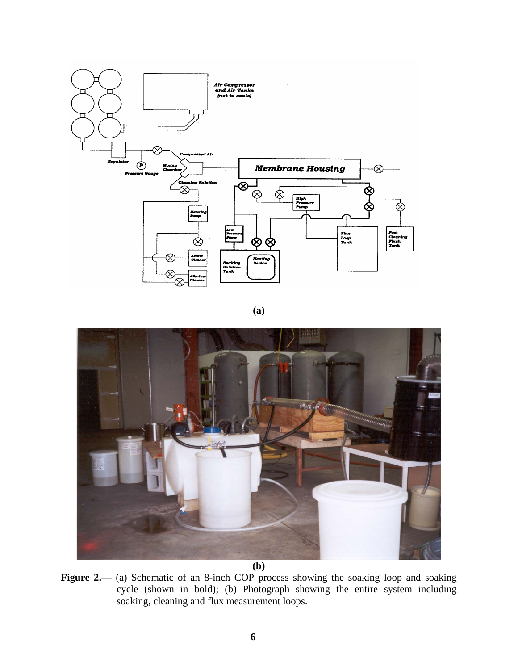



**(b)** 

Figure 2.— (a) Schematic of an 8-inch COP process showing the soaking loop and soaking cycle (shown in bold); (b) Photograph showing the entire system including soaking, cleaning and flux measurement loops.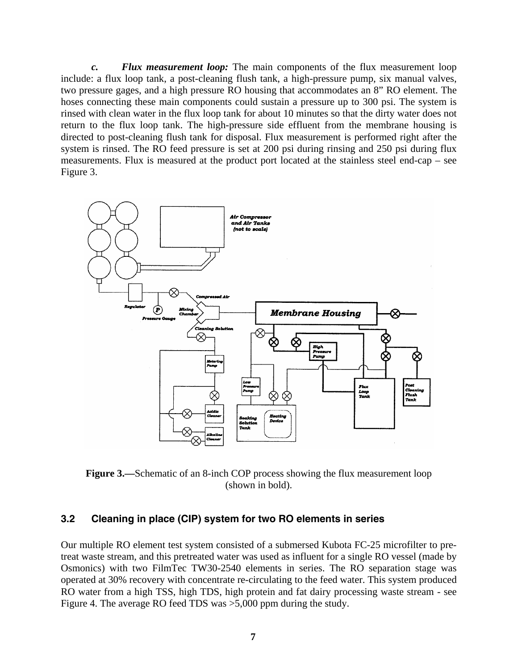*c. Flux measurement loop:* The main components of the flux measurement loop include: a flux loop tank, a post-cleaning flush tank, a high-pressure pump, six manual valves, two pressure gages, and a high pressure RO housing that accommodates an 8" RO element. The hoses connecting these main components could sustain a pressure up to 300 psi. The system is rinsed with clean water in the flux loop tank for about 10 minutes so that the dirty water does not return to the flux loop tank. The high-pressure side effluent from the membrane housing is directed to post-cleaning flush tank for disposal. Flux measurement is performed right after the system is rinsed. The RO feed pressure is set at 200 psi during rinsing and 250 psi during flux measurements. Flux is measured at the product port located at the stainless steel end-cap – see Figure 3.



**Figure 3.**—Schematic of an 8-inch COP process showing the flux measurement loop (shown in bold).

### **3.2 Cleaning in place (CIP) system for two RO elements in series**

Our multiple RO element test system consisted of a submersed Kubota FC-25 microfilter to pretreat waste stream, and this pretreated water was used as influent for a single RO vessel (made by Osmonics) with two FilmTec TW30-2540 elements in series. The RO separation stage was operated at 30% recovery with concentrate re-circulating to the feed water. This system produced RO water from a high TSS, high TDS, high protein and fat dairy processing waste stream - see Figure 4. The average RO feed TDS was >5,000 ppm during the study.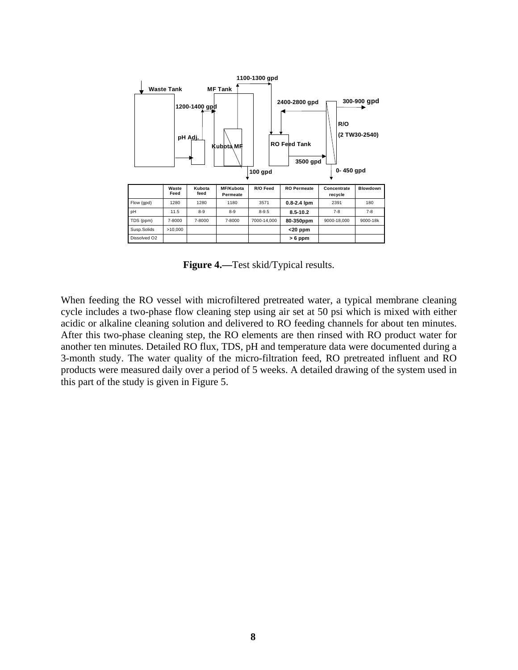

**Figure 4.—**Test skid/Typical results.

When feeding the RO vessel with microfiltered pretreated water, a typical membrane cleaning cycle includes a two-phase flow cleaning step using air set at 50 psi which is mixed with either acidic or alkaline cleaning solution and delivered to RO feeding channels for about ten minutes. After this two-phase cleaning step, the RO elements are then rinsed with RO product water for another ten minutes. Detailed RO flux, TDS, pH and temperature data were documented during a 3-month study. The water quality of the micro-filtration feed, RO pretreated influent and RO products were measured daily over a period of 5 weeks. A detailed drawing of the system used in this part of the study is given in Figure 5.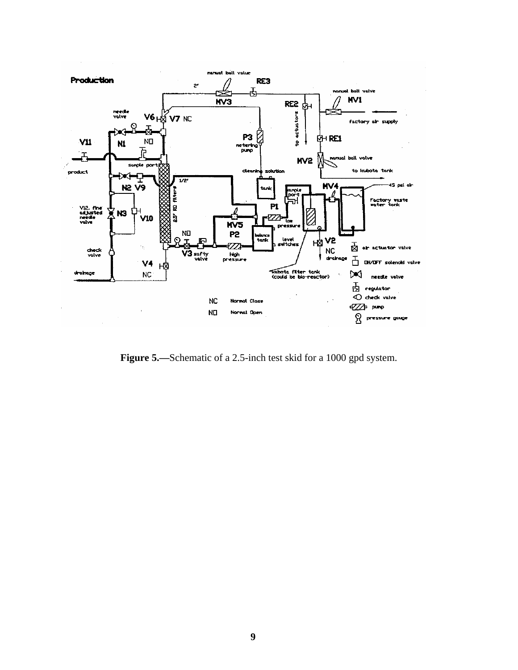

Figure 5.—Schematic of a 2.5-inch test skid for a 1000 gpd system.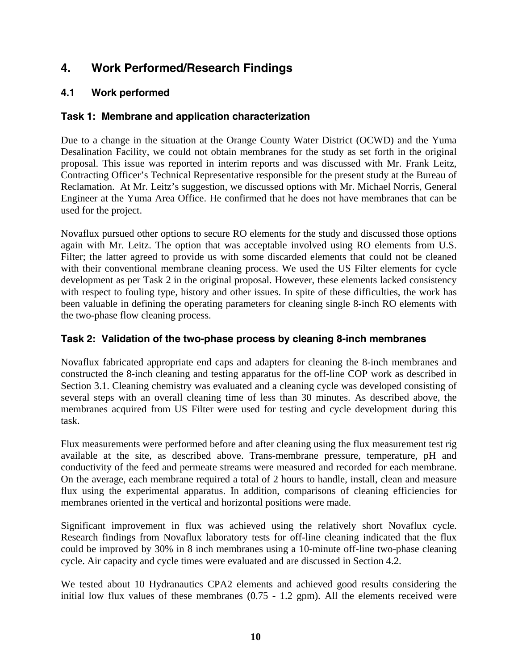# **4. Work Performed/Research Findings**

### **4.1 Work performed**

### **Task 1: Membrane and application characterization**

Due to a change in the situation at the Orange County Water District (OCWD) and the Yuma Desalination Facility, we could not obtain membranes for the study as set forth in the original proposal. This issue was reported in interim reports and was discussed with Mr. Frank Leitz, Contracting Officer's Technical Representative responsible for the present study at the Bureau of Reclamation. At Mr. Leitz's suggestion, we discussed options with Mr. Michael Norris, General Engineer at the Yuma Area Office. He confirmed that he does not have membranes that can be used for the project.

Novaflux pursued other options to secure RO elements for the study and discussed those options again with Mr. Leitz. The option that was acceptable involved using RO elements from U.S. Filter; the latter agreed to provide us with some discarded elements that could not be cleaned with their conventional membrane cleaning process. We used the US Filter elements for cycle development as per Task 2 in the original proposal. However, these elements lacked consistency with respect to fouling type, history and other issues. In spite of these difficulties, the work has been valuable in defining the operating parameters for cleaning single 8-inch RO elements with the two-phase flow cleaning process.

### **Task 2: Validation of the two-phase process by cleaning 8-inch membranes**

Novaflux fabricated appropriate end caps and adapters for cleaning the 8-inch membranes and constructed the 8-inch cleaning and testing apparatus for the off-line COP work as described in Section 3.1. Cleaning chemistry was evaluated and a cleaning cycle was developed consisting of several steps with an overall cleaning time of less than 30 minutes. As described above, the membranes acquired from US Filter were used for testing and cycle development during this task.

Flux measurements were performed before and after cleaning using the flux measurement test rig available at the site, as described above. Trans-membrane pressure, temperature, pH and conductivity of the feed and permeate streams were measured and recorded for each membrane. On the average, each membrane required a total of 2 hours to handle, install, clean and measure flux using the experimental apparatus. In addition, comparisons of cleaning efficiencies for membranes oriented in the vertical and horizontal positions were made.

Significant improvement in flux was achieved using the relatively short Novaflux cycle. Research findings from Novaflux laboratory tests for off-line cleaning indicated that the flux could be improved by 30% in 8 inch membranes using a 10-minute off-line two-phase cleaning cycle. Air capacity and cycle times were evaluated and are discussed in Section 4.2.

We tested about 10 Hydranautics CPA2 elements and achieved good results considering the initial low flux values of these membranes (0.75 - 1.2 gpm). All the elements received were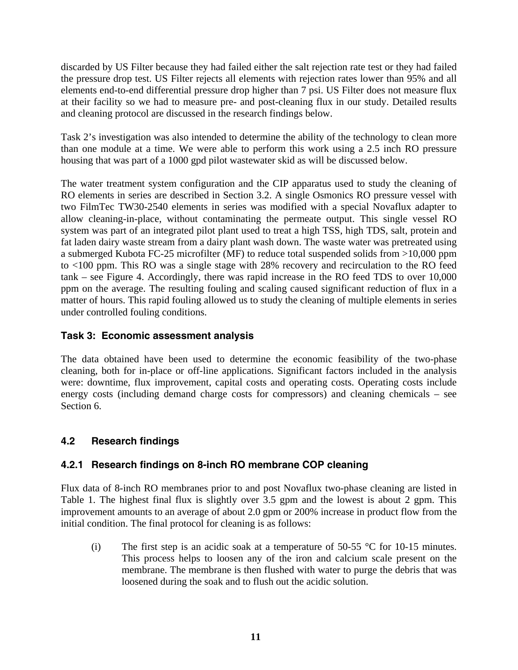discarded by US Filter because they had failed either the salt rejection rate test or they had failed the pressure drop test. US Filter rejects all elements with rejection rates lower than 95% and all elements end-to-end differential pressure drop higher than 7 psi. US Filter does not measure flux at their facility so we had to measure pre- and post-cleaning flux in our study. Detailed results and cleaning protocol are discussed in the research findings below.

Task 2's investigation was also intended to determine the ability of the technology to clean more than one module at a time. We were able to perform this work using a 2.5 inch RO pressure housing that was part of a 1000 gpd pilot wastewater skid as will be discussed below.

The water treatment system configuration and the CIP apparatus used to study the cleaning of RO elements in series are described in Section 3.2. A single Osmonics RO pressure vessel with two FilmTec TW30-2540 elements in series was modified with a special Novaflux adapter to allow cleaning-in-place, without contaminating the permeate output. This single vessel RO system was part of an integrated pilot plant used to treat a high TSS, high TDS, salt, protein and fat laden dairy waste stream from a dairy plant wash down. The waste water was pretreated using a submerged Kubota FC-25 microfilter (MF) to reduce total suspended solids from >10,000 ppm to <100 ppm. This RO was a single stage with 28% recovery and recirculation to the RO feed tank – see Figure 4. Accordingly, there was rapid increase in the RO feed TDS to over 10,000 ppm on the average. The resulting fouling and scaling caused significant reduction of flux in a matter of hours. This rapid fouling allowed us to study the cleaning of multiple elements in series under controlled fouling conditions.

### **Task 3: Economic assessment analysis**

The data obtained have been used to determine the economic feasibility of the two-phase cleaning, both for in-place or off-line applications. Significant factors included in the analysis were: downtime, flux improvement, capital costs and operating costs. Operating costs include energy costs (including demand charge costs for compressors) and cleaning chemicals – see Section 6.

### **4.2 Research findings**

### **4.2.1 Research findings on 8-inch RO membrane COP cleaning**

Flux data of 8-inch RO membranes prior to and post Novaflux two-phase cleaning are listed in Table 1. The highest final flux is slightly over 3.5 gpm and the lowest is about 2 gpm. This improvement amounts to an average of about 2.0 gpm or 200% increase in product flow from the initial condition. The final protocol for cleaning is as follows:

(i) The first step is an acidic soak at a temperature of 50-55  $\degree$ C for 10-15 minutes. This process helps to loosen any of the iron and calcium scale present on the membrane. The membrane is then flushed with water to purge the debris that was loosened during the soak and to flush out the acidic solution.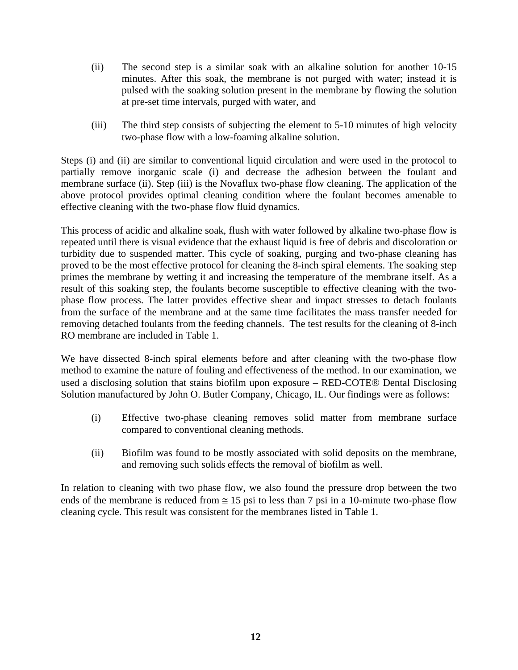- (ii) The second step is a similar soak with an alkaline solution for another 10-15 minutes. After this soak, the membrane is not purged with water; instead it is pulsed with the soaking solution present in the membrane by flowing the solution at pre-set time intervals, purged with water, and
- (iii) The third step consists of subjecting the element to 5-10 minutes of high velocity two-phase flow with a low-foaming alkaline solution.

Steps (i) and (ii) are similar to conventional liquid circulation and were used in the protocol to partially remove inorganic scale (i) and decrease the adhesion between the foulant and membrane surface (ii). Step (iii) is the Novaflux two-phase flow cleaning. The application of the above protocol provides optimal cleaning condition where the foulant becomes amenable to effective cleaning with the two-phase flow fluid dynamics.

This process of acidic and alkaline soak, flush with water followed by alkaline two-phase flow is repeated until there is visual evidence that the exhaust liquid is free of debris and discoloration or turbidity due to suspended matter. This cycle of soaking, purging and two-phase cleaning has proved to be the most effective protocol for cleaning the 8-inch spiral elements. The soaking step primes the membrane by wetting it and increasing the temperature of the membrane itself. As a result of this soaking step, the foulants become susceptible to effective cleaning with the twophase flow process. The latter provides effective shear and impact stresses to detach foulants from the surface of the membrane and at the same time facilitates the mass transfer needed for removing detached foulants from the feeding channels. The test results for the cleaning of 8-inch RO membrane are included in Table 1.

We have dissected 8-inch spiral elements before and after cleaning with the two-phase flow method to examine the nature of fouling and effectiveness of the method. In our examination, we used a disclosing solution that stains biofilm upon exposure – RED-COTE® Dental Disclosing Solution manufactured by John O. Butler Company, Chicago, IL. Our findings were as follows:

- (i) Effective two-phase cleaning removes solid matter from membrane surface compared to conventional cleaning methods.
- (ii) Biofilm was found to be mostly associated with solid deposits on the membrane, and removing such solids effects the removal of biofilm as well.

In relation to cleaning with two phase flow, we also found the pressure drop between the two ends of the membrane is reduced from  $\approx 15$  psi to less than 7 psi in a 10-minute two-phase flow cleaning cycle. This result was consistent for the membranes listed in Table 1.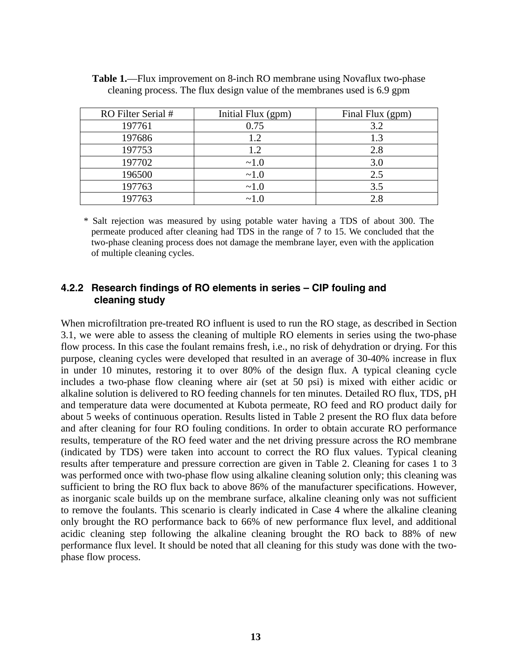| RO Filter Serial # | Initial Flux (gpm) | Final Flux (gpm) |
|--------------------|--------------------|------------------|
| 197761             | 0.75               | 3.2              |
| 197686             | 1.2                | 1.3              |
| 197753             | 1.2                | 2.8              |
| 197702             | ~1.0               | 3.0              |
| 196500             | ~1.0               | 2.5              |
| 197763             | ~1.0               | 3.5              |
| 197763             | ~1.0               |                  |

|  | <b>Table 1.</b> —Flux improvement on 8-inch RO membrane using Novaflux two-phase |
|--|----------------------------------------------------------------------------------|
|  | cleaning process. The flux design value of the membranes used is 6.9 gpm         |

\* Salt rejection was measured by using potable water having a TDS of about 300. The permeate produced after cleaning had TDS in the range of 7 to 15. We concluded that the two-phase cleaning process does not damage the membrane layer, even with the application of multiple cleaning cycles.

#### **4.2.2 Research findings of RO elements in series – CIP fouling and cleaning study**

When microfiltration pre-treated RO influent is used to run the RO stage, as described in Section 3.1, we were able to assess the cleaning of multiple RO elements in series using the two-phase flow process. In this case the foulant remains fresh, i.e., no risk of dehydration or drying. For this purpose, cleaning cycles were developed that resulted in an average of 30-40% increase in flux in under 10 minutes, restoring it to over 80% of the design flux. A typical cleaning cycle includes a two-phase flow cleaning where air (set at 50 psi) is mixed with either acidic or alkaline solution is delivered to RO feeding channels for ten minutes. Detailed RO flux, TDS, pH and temperature data were documented at Kubota permeate, RO feed and RO product daily for about 5 weeks of continuous operation. Results listed in Table 2 present the RO flux data before and after cleaning for four RO fouling conditions. In order to obtain accurate RO performance results, temperature of the RO feed water and the net driving pressure across the RO membrane (indicated by TDS) were taken into account to correct the RO flux values. Typical cleaning results after temperature and pressure correction are given in Table 2. Cleaning for cases 1 to 3 was performed once with two-phase flow using alkaline cleaning solution only; this cleaning was sufficient to bring the RO flux back to above 86% of the manufacturer specifications. However, as inorganic scale builds up on the membrane surface, alkaline cleaning only was not sufficient to remove the foulants. This scenario is clearly indicated in Case 4 where the alkaline cleaning only brought the RO performance back to 66% of new performance flux level, and additional acidic cleaning step following the alkaline cleaning brought the RO back to 88% of new performance flux level. It should be noted that all cleaning for this study was done with the twophase flow process.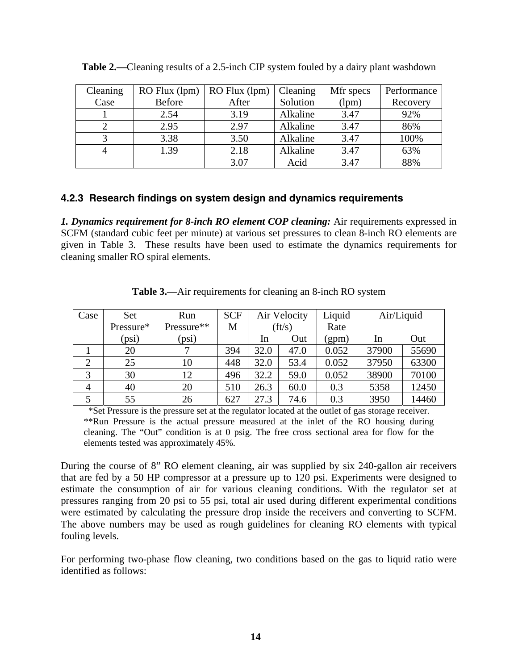| Cleaning | RO Flux (lpm) | RO Flux (lpm) | Cleaning | Mfr specs | Performance |
|----------|---------------|---------------|----------|-----------|-------------|
| Case     | <b>Before</b> | After         | Solution | (lpm)     | Recovery    |
|          | 2.54          | 3.19          | Alkaline | 3.47      | 92%         |
|          | 2.95          | 2.97          | Alkaline | 3.47      | 86%         |
|          | 3.38          | 3.50          | Alkaline | 3.47      | 100%        |
|          | 1.39          | 2.18          | Alkaline | 3.47      | 63%         |
|          |               | 3.07          | Acid     | 3.47      | 88%         |

|  | Table 2.—Cleaning results of a 2.5-inch CIP system fouled by a dairy plant washdown |  |  |
|--|-------------------------------------------------------------------------------------|--|--|
|  |                                                                                     |  |  |

### **4.2.3 Research findings on system design and dynamics requirements**

*1. Dynamics requirement for 8-inch RO element COP cleaning:* Air requirements expressed in SCFM (standard cubic feet per minute) at various set pressures to clean 8-inch RO elements are given in Table 3. These results have been used to estimate the dynamics requirements for cleaning smaller RO spiral elements.

| Case           | Set       | Run        | <b>SCF</b> |      | Air Velocity | Liquid | Air/Liquid |       |
|----------------|-----------|------------|------------|------|--------------|--------|------------|-------|
|                | Pressure* | Pressure** | M          |      | (ft/s)       | Rate   |            |       |
|                | (psi)     | (psi)      |            | In   | Out          | (gpm)  | In         | Out   |
|                | 20        |            | 394        | 32.0 | 47.0         | 0.052  | 37900      | 55690 |
| $\overline{2}$ | 25        | 10         | 448        | 32.0 | 53.4         | 0.052  | 37950      | 63300 |
| 3              | 30        | 12         | 496        | 32.2 | 59.0         | 0.052  | 38900      | 70100 |
| 4              | 40        | 20         | 510        | 26.3 | 60.0         | 0.3    | 5358       | 12450 |
|                | 55        | 26         | 627        | 27.3 | 74.6         | 0.3    | 3950       | 14460 |

**Table 3.**—Air requirements for cleaning an 8-inch RO system

 \*Set Pressure is the pressure set at the regulator located at the outlet of gas storage receiver. \*\*Run Pressure is the actual pressure measured at the inlet of the RO housing during cleaning. The "Out" condition is at 0 psig. The free cross sectional area for flow for the elements tested was approximately 45%.

During the course of 8" RO element cleaning, air was supplied by six 240-gallon air receivers that are fed by a 50 HP compressor at a pressure up to 120 psi. Experiments were designed to estimate the consumption of air for various cleaning conditions. With the regulator set at pressures ranging from 20 psi to 55 psi, total air used during different experimental conditions were estimated by calculating the pressure drop inside the receivers and converting to SCFM. The above numbers may be used as rough guidelines for cleaning RO elements with typical fouling levels.

For performing two-phase flow cleaning, two conditions based on the gas to liquid ratio were identified as follows: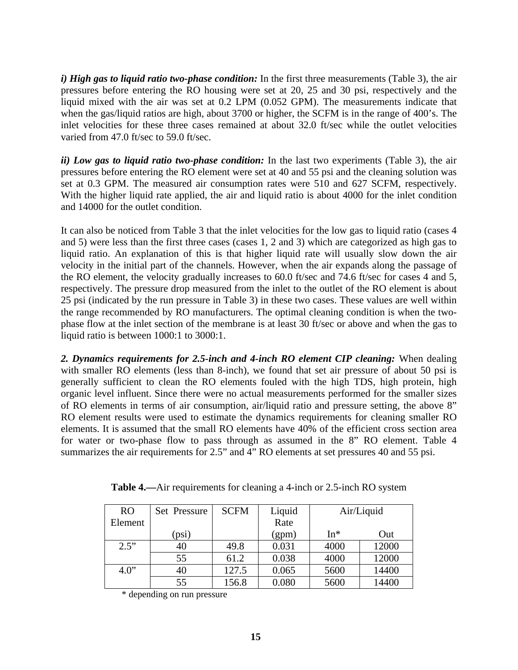*i) High gas to liquid ratio two-phase condition:* In the first three measurements (Table 3), the air pressures before entering the RO housing were set at 20, 25 and 30 psi, respectively and the liquid mixed with the air was set at 0.2 LPM (0.052 GPM). The measurements indicate that when the gas/liquid ratios are high, about 3700 or higher, the SCFM is in the range of 400's. The inlet velocities for these three cases remained at about 32.0 ft/sec while the outlet velocities varied from 47.0 ft/sec to 59.0 ft/sec.

*ii) Low gas to liquid ratio two-phase condition:* In the last two experiments (Table 3), the air pressures before entering the RO element were set at 40 and 55 psi and the cleaning solution was set at 0.3 GPM. The measured air consumption rates were 510 and 627 SCFM, respectively. With the higher liquid rate applied, the air and liquid ratio is about 4000 for the inlet condition and 14000 for the outlet condition.

It can also be noticed from Table 3 that the inlet velocities for the low gas to liquid ratio (cases 4 and 5) were less than the first three cases (cases 1, 2 and 3) which are categorized as high gas to liquid ratio. An explanation of this is that higher liquid rate will usually slow down the air velocity in the initial part of the channels. However, when the air expands along the passage of the RO element, the velocity gradually increases to 60.0 ft/sec and 74.6 ft/sec for cases 4 and 5, respectively. The pressure drop measured from the inlet to the outlet of the RO element is about 25 psi (indicated by the run pressure in Table 3) in these two cases. These values are well within the range recommended by RO manufacturers. The optimal cleaning condition is when the twophase flow at the inlet section of the membrane is at least 30 ft/sec or above and when the gas to liquid ratio is between 1000:1 to 3000:1.

*2. Dynamics requirements for 2.5-inch and 4-inch RO element CIP cleaning:* When dealing with smaller RO elements (less than 8-inch), we found that set air pressure of about 50 psi is generally sufficient to clean the RO elements fouled with the high TDS, high protein, high organic level influent. Since there were no actual measurements performed for the smaller sizes of RO elements in terms of air consumption, air/liquid ratio and pressure setting, the above 8" RO element results were used to estimate the dynamics requirements for cleaning smaller RO elements. It is assumed that the small RO elements have 40% of the efficient cross section area for water or two-phase flow to pass through as assumed in the 8" RO element. Table 4 summarizes the air requirements for 2.5" and 4" RO elements at set pressures 40 and 55 psi.

| <b>RO</b> | Set Pressure | <b>SCFM</b> | Liquid | Air/Liquid |       |
|-----------|--------------|-------------|--------|------------|-------|
| Element   |              |             | Rate   |            |       |
|           | (psi)        |             | (gpm)  | $In*$      | Out   |
| 2.5"      | 40           | 49.8        | 0.031  | 4000       | 12000 |
|           | 55           | 61.2        | 0.038  | 4000       | 12000 |
| 4.0"      | 40           | 127.5       | 0.065  | 5600       | 14400 |
|           | 55           | 156.8       | 0.080  | 5600       | 14400 |

**Table 4.—**Air requirements for cleaning a 4-inch or 2.5-inch RO system

\* depending on run pressure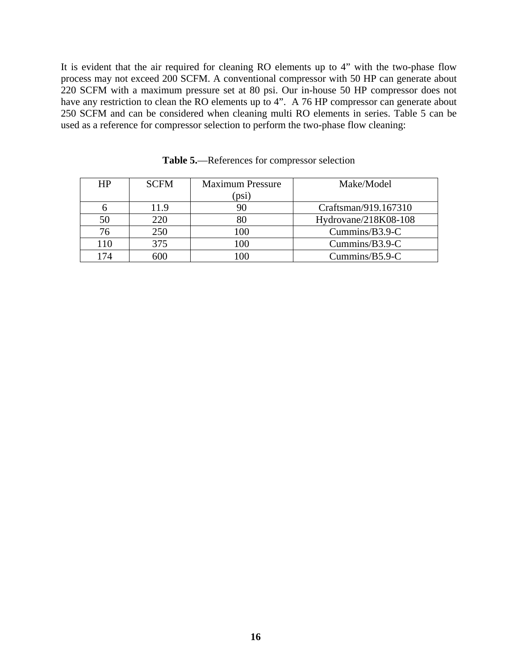It is evident that the air required for cleaning RO elements up to 4" with the two-phase flow process may not exceed 200 SCFM. A conventional compressor with 50 HP can generate about 220 SCFM with a maximum pressure set at 80 psi. Our in-house 50 HP compressor does not have any restriction to clean the RO elements up to 4". A 76 HP compressor can generate about 250 SCFM and can be considered when cleaning multi RO elements in series. Table 5 can be used as a reference for compressor selection to perform the two-phase flow cleaning:

| <b>HP</b> | <b>SCFM</b> | <b>Maximum Pressure</b> | Make/Model              |
|-----------|-------------|-------------------------|-------------------------|
|           |             | $\left($ psi            |                         |
|           | 11.9        |                         | Craftsman/919.167310    |
|           | 220         | 80                      | Hydrovane/ $218K08-108$ |
|           | 250         | 100                     | $Cummins/B3.9-C$        |
| 110       | 375         | 100                     | Cummins/B3.9-C          |
|           |             |                         | $Cummins/B5.9-C$        |

**Table 5.**—References for compressor selection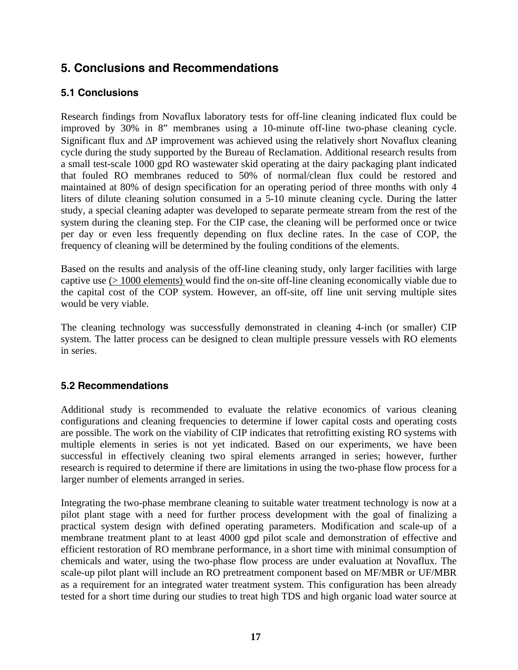# **5. Conclusions and Recommendations**

### **5.1 Conclusions**

Research findings from Novaflux laboratory tests for off-line cleaning indicated flux could be improved by 30% in 8" membranes using a 10-minute off-line two-phase cleaning cycle. Significant flux and ∆P improvement was achieved using the relatively short Novaflux cleaning cycle during the study supported by the Bureau of Reclamation. Additional research results from a small test-scale 1000 gpd RO wastewater skid operating at the dairy packaging plant indicated that fouled RO membranes reduced to 50% of normal/clean flux could be restored and maintained at 80% of design specification for an operating period of three months with only 4 liters of dilute cleaning solution consumed in a 5-10 minute cleaning cycle. During the latter study, a special cleaning adapter was developed to separate permeate stream from the rest of the system during the cleaning step. For the CIP case, the cleaning will be performed once or twice per day or even less frequently depending on flux decline rates. In the case of COP, the frequency of cleaning will be determined by the fouling conditions of the elements.

Based on the results and analysis of the off-line cleaning study, only larger facilities with large captive use (> 1000 elements) would find the on-site off-line cleaning economically viable due to the capital cost of the COP system. However, an off-site, off line unit serving multiple sites would be very viable.

The cleaning technology was successfully demonstrated in cleaning 4-inch (or smaller) CIP system. The latter process can be designed to clean multiple pressure vessels with RO elements in series.

### **5.2 Recommendations**

Additional study is recommended to evaluate the relative economics of various cleaning configurations and cleaning frequencies to determine if lower capital costs and operating costs are possible. The work on the viability of CIP indicates that retrofitting existing RO systems with multiple elements in series is not yet indicated. Based on our experiments, we have been successful in effectively cleaning two spiral elements arranged in series; however, further research is required to determine if there are limitations in using the two-phase flow process for a larger number of elements arranged in series.

Integrating the two-phase membrane cleaning to suitable water treatment technology is now at a pilot plant stage with a need for further process development with the goal of finalizing a practical system design with defined operating parameters. Modification and scale-up of a membrane treatment plant to at least 4000 gpd pilot scale and demonstration of effective and efficient restoration of RO membrane performance, in a short time with minimal consumption of chemicals and water, using the two-phase flow process are under evaluation at Novaflux. The scale-up pilot plant will include an RO pretreatment component based on MF/MBR or UF/MBR as a requirement for an integrated water treatment system. This configuration has been already tested for a short time during our studies to treat high TDS and high organic load water source at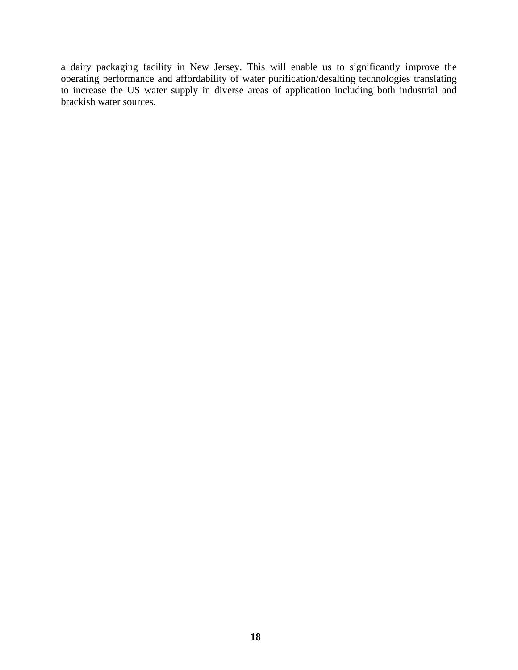a dairy packaging facility in New Jersey. This will enable us to significantly improve the operating performance and affordability of water purification/desalting technologies translating to increase the US water supply in diverse areas of application including both industrial and brackish water sources.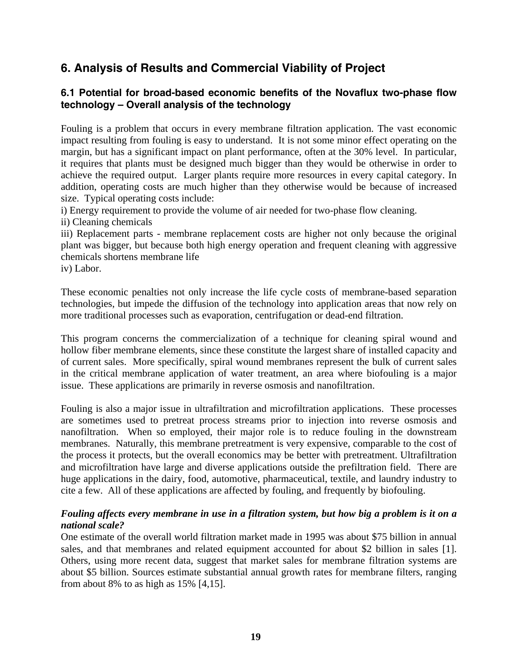# **6. Analysis of Results and Commercial Viability of Project**

### **6.1 Potential for broad-based economic benefits of the Novaflux two-phase flow technology – Overall analysis of the technology**

Fouling is a problem that occurs in every membrane filtration application. The vast economic impact resulting from fouling is easy to understand. It is not some minor effect operating on the margin, but has a significant impact on plant performance, often at the 30% level. In particular, it requires that plants must be designed much bigger than they would be otherwise in order to achieve the required output. Larger plants require more resources in every capital category. In addition, operating costs are much higher than they otherwise would be because of increased size. Typical operating costs include:

i) Energy requirement to provide the volume of air needed for two-phase flow cleaning.

ii) Cleaning chemicals

iii) Replacement parts - membrane replacement costs are higher not only because the original plant was bigger, but because both high energy operation and frequent cleaning with aggressive chemicals shortens membrane life

iv) Labor.

These economic penalties not only increase the life cycle costs of membrane-based separation technologies, but impede the diffusion of the technology into application areas that now rely on more traditional processes such as evaporation, centrifugation or dead-end filtration.

This program concerns the commercialization of a technique for cleaning spiral wound and hollow fiber membrane elements, since these constitute the largest share of installed capacity and of current sales. More specifically, spiral wound membranes represent the bulk of current sales in the critical membrane application of water treatment, an area where biofouling is a major issue. These applications are primarily in reverse osmosis and nanofiltration.

Fouling is also a major issue in ultrafiltration and microfiltration applications. These processes are sometimes used to pretreat process streams prior to injection into reverse osmosis and nanofiltration. When so employed, their major role is to reduce fouling in the downstream membranes. Naturally, this membrane pretreatment is very expensive, comparable to the cost of the process it protects, but the overall economics may be better with pretreatment. Ultrafiltration and microfiltration have large and diverse applications outside the prefiltration field. There are huge applications in the dairy, food, automotive, pharmaceutical, textile, and laundry industry to cite a few. All of these applications are affected by fouling, and frequently by biofouling.

#### *Fouling affects every membrane in use in a filtration system, but how big a problem is it on a national scale?*

One estimate of the overall world filtration market made in 1995 was about \$75 billion in annual sales, and that membranes and related equipment accounted for about \$2 billion in sales [1]. Others, using more recent data, suggest that market sales for membrane filtration systems are about \$5 billion. Sources estimate substantial annual growth rates for membrane filters, ranging from about 8% to as high as 15% [4,15].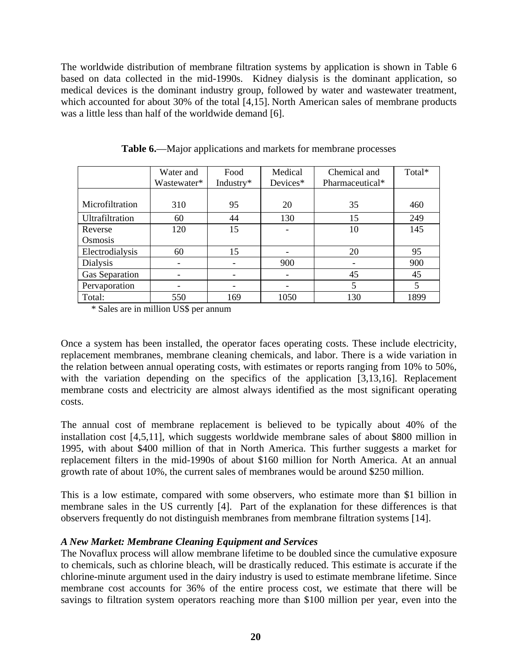The worldwide distribution of membrane filtration systems by application is shown in Table 6 based on data collected in the mid-1990s. Kidney dialysis is the dominant application, so medical devices is the dominant industry group, followed by water and wastewater treatment, which accounted for about 30% of the total [4,15]. North American sales of membrane products was a little less than half of the worldwide demand [6].

|                 | Water and   | Food      | Medical  | Chemical and    | Total* |
|-----------------|-------------|-----------|----------|-----------------|--------|
|                 | Wastewater* | Industry* | Devices* | Pharmaceutical* |        |
|                 |             |           |          |                 |        |
| Microfiltration | 310         | 95        | 20       | 35              | 460    |
| Ultrafiltration | 60          | 44        | 130      | 15              | 249    |
| Reverse         | 120         | 15        |          | 10              | 145    |
| Osmosis         |             |           |          |                 |        |
| Electrodialysis | 60          | 15        |          | 20              | 95     |
| Dialysis        |             |           | 900      |                 | 900    |
| Gas Separation  |             |           |          | 45              | 45     |
| Pervaporation   |             |           |          | 5               | 5      |
| Total:          | 550         | 169       | 1050     | 130             | 1899   |

**Table 6.**—Major applications and markets for membrane processes

\* Sales are in million US\$ per annum

Once a system has been installed, the operator faces operating costs. These include electricity, replacement membranes, membrane cleaning chemicals, and labor. There is a wide variation in the relation between annual operating costs, with estimates or reports ranging from 10% to 50%, with the variation depending on the specifics of the application [3,13,16]. Replacement membrane costs and electricity are almost always identified as the most significant operating costs.

The annual cost of membrane replacement is believed to be typically about 40% of the installation cost [4,5,11], which suggests worldwide membrane sales of about \$800 million in 1995, with about \$400 million of that in North America. This further suggests a market for replacement filters in the mid-1990s of about \$160 million for North America. At an annual growth rate of about 10%, the current sales of membranes would be around \$250 million.

This is a low estimate, compared with some observers, who estimate more than \$1 billion in membrane sales in the US currently [4]. Part of the explanation for these differences is that observers frequently do not distinguish membranes from membrane filtration systems [14].

### *A New Market: Membrane Cleaning Equipment and Services*

The Novaflux process will allow membrane lifetime to be doubled since the cumulative exposure to chemicals, such as chlorine bleach, will be drastically reduced. This estimate is accurate if the chlorine-minute argument used in the dairy industry is used to estimate membrane lifetime. Since membrane cost accounts for 36% of the entire process cost, we estimate that there will be savings to filtration system operators reaching more than \$100 million per year, even into the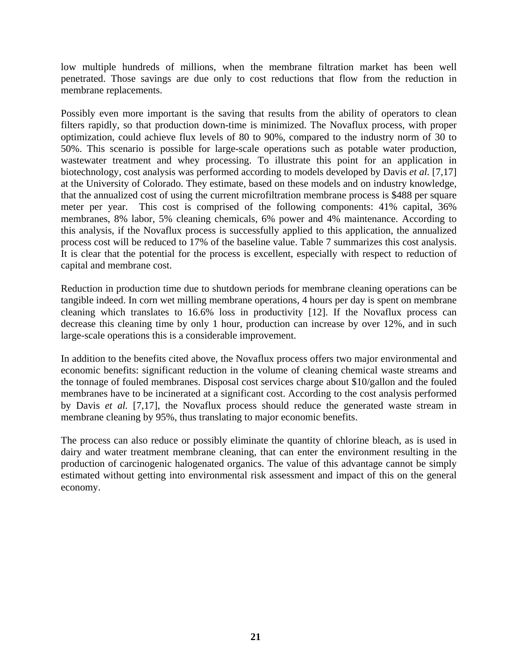low multiple hundreds of millions, when the membrane filtration market has been well penetrated. Those savings are due only to cost reductions that flow from the reduction in membrane replacements.

Possibly even more important is the saving that results from the ability of operators to clean filters rapidly, so that production down-time is minimized. The Novaflux process, with proper optimization, could achieve flux levels of 80 to 90%, compared to the industry norm of 30 to 50%. This scenario is possible for large-scale operations such as potable water production, wastewater treatment and whey processing. To illustrate this point for an application in biotechnology, cost analysis was performed according to models developed by Davis *et al.* [7,17] at the University of Colorado. They estimate, based on these models and on industry knowledge, that the annualized cost of using the current microfiltration membrane process is \$488 per square meter per year. This cost is comprised of the following components: 41% capital, 36% membranes, 8% labor, 5% cleaning chemicals, 6% power and 4% maintenance. According to this analysis, if the Novaflux process is successfully applied to this application, the annualized process cost will be reduced to 17% of the baseline value. Table 7 summarizes this cost analysis. It is clear that the potential for the process is excellent, especially with respect to reduction of capital and membrane cost.

Reduction in production time due to shutdown periods for membrane cleaning operations can be tangible indeed. In corn wet milling membrane operations, 4 hours per day is spent on membrane cleaning which translates to 16.6% loss in productivity [12]. If the Novaflux process can decrease this cleaning time by only 1 hour, production can increase by over 12%, and in such large-scale operations this is a considerable improvement.

In addition to the benefits cited above, the Novaflux process offers two major environmental and economic benefits: significant reduction in the volume of cleaning chemical waste streams and the tonnage of fouled membranes. Disposal cost services charge about \$10/gallon and the fouled membranes have to be incinerated at a significant cost. According to the cost analysis performed by Davis *et al.* [7,17], the Novaflux process should reduce the generated waste stream in membrane cleaning by 95%, thus translating to major economic benefits.

The process can also reduce or possibly eliminate the quantity of chlorine bleach, as is used in dairy and water treatment membrane cleaning, that can enter the environment resulting in the production of carcinogenic halogenated organics. The value of this advantage cannot be simply estimated without getting into environmental risk assessment and impact of this on the general economy.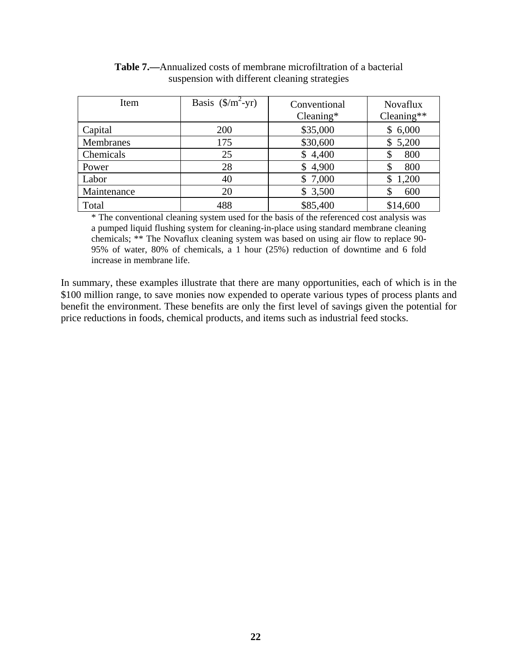| Item        | Basis $(\frac{\pi}{2})$ -yr) | Conventional<br>$C$ leaning* | <b>Novaflux</b><br>$C$ leaning** |
|-------------|------------------------------|------------------------------|----------------------------------|
| Capital     | 200                          | \$35,000                     | \$6,000                          |
| Membranes   | 175                          | \$30,600                     | 5,200<br>\$                      |
| Chemicals   | 25                           | \$4,400                      | 800<br>S                         |
| Power       | 28                           | \$4,900                      | 800                              |
| Labor       | 40                           | \$7,000                      | 1,200                            |
| Maintenance | 20                           | \$3,500                      | 600                              |
| Total       | 488                          | \$85,400                     | \$14,600                         |

**Table 7.—**Annualized costs of membrane microfiltration of a bacterial suspension with different cleaning strategies

\* The conventional cleaning system used for the basis of the referenced cost analysis was a pumped liquid flushing system for cleaning-in-place using standard membrane cleaning chemicals; \*\* The Novaflux cleaning system was based on using air flow to replace 90- 95% of water, 80% of chemicals, a 1 hour (25%) reduction of downtime and 6 fold increase in membrane life.

In summary, these examples illustrate that there are many opportunities, each of which is in the \$100 million range, to save monies now expended to operate various types of process plants and benefit the environment. These benefits are only the first level of savings given the potential for price reductions in foods, chemical products, and items such as industrial feed stocks.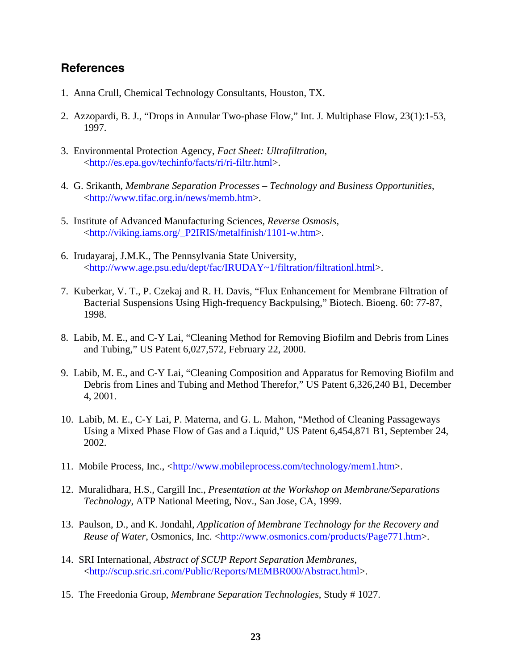### **References**

- 1. Anna Crull, Chemical Technology Consultants, Houston, TX.
- 2. Azzopardi, B. J., "Drops in Annular Two-phase Flow," Int. J. Multiphase Flow, 23(1):1-53, 1997.
- 3. Environmental Protection Agency, *Fact Sheet: Ultrafiltration*, <http://es.epa.gov/techinfo/facts/ri/ri-filtr.html>.
- 4. G. Srikanth, *Membrane Separation Processes Technology and Business Opportunities*, <http://www.tifac.org.in/news/memb.htm>.
- 5. Institute of Advanced Manufacturing Sciences, *Reverse Osmosis*, <http://viking.iams.org/\_P2IRIS/metalfinish/1101-w.htm>.
- 6. Irudayaraj, J.M.K., The Pennsylvania State University, <http://www.age.psu.edu/dept/fac/IRUDAY~1/filtration/filtrationl.html>.
- 7. Kuberkar, V. T., P. Czekaj and R. H. Davis, "Flux Enhancement for Membrane Filtration of Bacterial Suspensions Using High-frequency Backpulsing," Biotech. Bioeng. 60: 77-87, 1998.
- 8. Labib, M. E., and C-Y Lai, "Cleaning Method for Removing Biofilm and Debris from Lines and Tubing," US Patent 6,027,572, February 22, 2000.
- 9. Labib, M. E., and C-Y Lai, "Cleaning Composition and Apparatus for Removing Biofilm and Debris from Lines and Tubing and Method Therefor," US Patent 6,326,240 B1, December 4, 2001.
- 10. Labib, M. E., C-Y Lai, P. Materna, and G. L. Mahon, "Method of Cleaning Passageways Using a Mixed Phase Flow of Gas and a Liquid," US Patent 6,454,871 B1, September 24, 2002.
- 11. Mobile Process, Inc., <http://www.mobileprocess.com/technology/mem1.htm>.
- 12. Muralidhara, H.S., Cargill Inc., *Presentation at the Workshop on Membrane/Separations Technology*, ATP National Meeting, Nov., San Jose, CA, 1999.
- 13. Paulson, D., and K. Jondahl, *Application of Membrane Technology for the Recovery and Reuse of Water*, Osmonics, Inc. <http://www.osmonics.com/products/Page771.htm>.
- 14. SRI International, *Abstract of SCUP Report Separation Membranes*, <http://scup.sric.sri.com/Public/Reports/MEMBR000/Abstract.html>.
- 15. The Freedonia Group, *Membrane Separation Technologies*, Study # 1027.